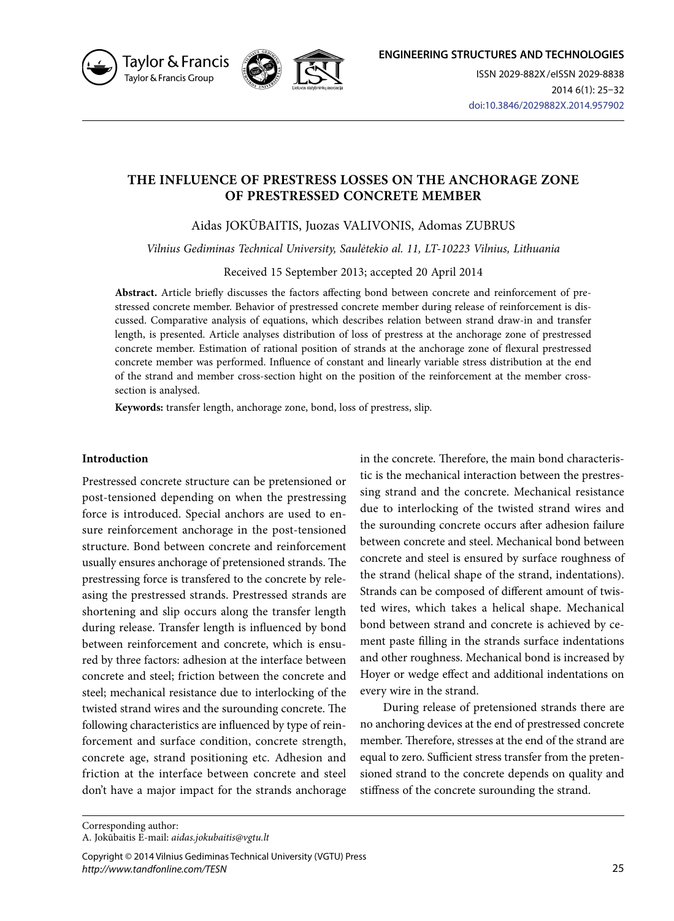





doi:10.3846/2029882X.2014.957902

# **THE INFLUENCE OF PRESTRESS LOSSES ON THE ANCHORAGE ZONE OF PRESTRESSED CONCRETE MEMBER**

Aidas JOKŪBAITIS, Juozas VALIVONIS, Adomas ZUBRUS

*Vilnius Gediminas Technical University, Saulėtekio al. 11, LT-10223 Vilnius, Lithuania*

Received 15 September 2013; accepted 20 April 2014

**Abstract.** Article briefly discusses the factors affecting bond between concrete and reinforcement of prestressed concrete member. Behavior of prestressed concrete member during release of reinforcement is discussed. Comparative analysis of equations, which describes relation between strand draw-in and transfer length, is presented. Article analyses distribution of loss of prestress at the anchorage zone of prestressed concrete member. Estimation of rational position of strands at the anchorage zone of flexural prestressed concrete member was performed. Influence of constant and linearly variable stress distribution at the end of the strand and member cross-section hight on the position of the reinforcement at the member crosssection is analysed.

**Keywords:** transfer length, anchorage zone, bond, loss of prestress, slip.

## **Introduction**

Prestressed concrete structure can be pretensioned or post-tensioned depending on when the prestressing force is introduced. Special anchors are used to ensure reinforcement anchorage in the post-tensioned structure. Bond between concrete and reinforcement usually ensures anchorage of pretensioned strands. The prestressing force is transfered to the concrete by releasing the prestressed strands. Prestressed strands are shortening and slip occurs along the transfer length during release. Transfer length is influenced by bond between reinforcement and concrete, which is ensured by three factors: adhesion at the interface between concrete and steel; friction between the concrete and steel; mechanical resistance due to interlocking of the twisted strand wires and the surounding concrete. The following characteristics are influenced by type of reinforcement and surface condition, concrete strength, concrete age, strand positioning etc. Adhesion and friction at the interface between concrete and steel don't have a major impact for the strands anchorage

in the concrete. Therefore, the main bond characteristic is the mechanical interaction between the prestressing strand and the concrete. Mechanical resistance due to interlocking of the twisted strand wires and the surounding concrete occurs after adhesion failure between concrete and steel. Mechanical bond between concrete and steel is ensured by surface roughness of the strand (helical shape of the strand, indentations). Strands can be composed of different amount of twisted wires, which takes a helical shape. Mechanical bond between strand and concrete is achieved by cement paste filling in the strands surface indentations and other roughness. Mechanical bond is increased by Hoyer or wedge effect and additional indentations on every wire in the strand.

During release of pretensioned strands there are no anchoring devices at the end of prestressed concrete member. Therefore, stresses at the end of the strand are equal to zero. Sufficient stress transfer from the pretensioned strand to the concrete depends on quality and stiffness of the concrete surounding the strand.

Corresponding author:

A. Jokūbaitis E-mail: *aidas.jokubaitis@vgtu.lt*

Copyright © 2014 Vilnius Gediminas Technical University (VGTU) Press *http://www.tandfonline.com/TESN*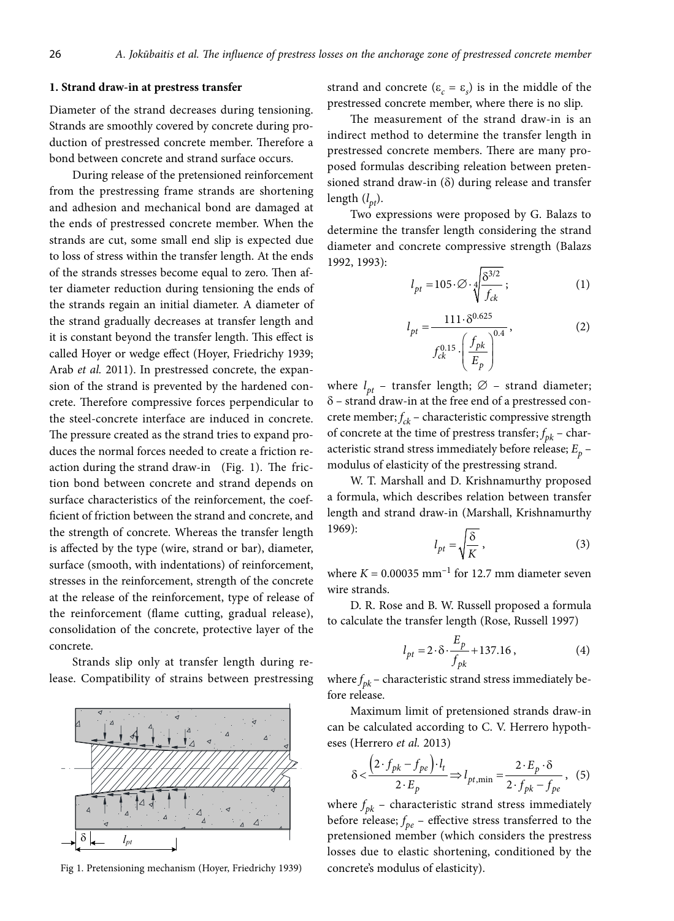#### **1. Strand draw-in at prestress transfer**

Diameter of the strand decreases during tensioning. Strands are smoothly covered by concrete during production of prestressed concrete member. Therefore a bond between concrete and strand surface occurs.

During release of the pretensioned reinforcement from the prestressing frame strands are shortening and adhesion and mechanical bond are damaged at the ends of prestressed concrete member. When the strands are cut, some small end slip is expected due to loss of stress within the transfer length. At the ends of the strands stresses become equal to zero. Then after diameter reduction during tensioning the ends of the strands regain an initial diameter. A diameter of the strand gradually decreases at transfer length and it is constant beyond the transfer length. This effect is called Hoyer or wedge effect (Hoyer, Friedrichy 1939; Arab *et al.* 2011). In prestressed concrete, the expansion of the strand is prevented by the hardened concrete. Therefore compressive forces perpendicular to the steel-concrete interface are induced in concrete. The pressure created as the strand tries to expand produces the normal forces needed to create a friction reaction during the strand draw-in (Fig. 1). The friction bond between concrete and strand depends on surface characteristics of the reinforcement, the coefficient of friction between the strand and concrete, and the strength of concrete. Whereas the transfer length is affected by the type (wire, strand or bar), diameter, surface (smooth, with indentations) of reinforcement, stresses in the reinforcement, strength of the concrete at the release of the reinforcement, type of release of the reinforcement (flame cutting, gradual release), consolidation of the concrete, protective layer of the concrete.

Strands slip only at transfer length during release. Compatibility of strains between prestressing



Fig 1. Pretensioning mechanism (Hoyer, Friedrichy 1939) concrete's modulus of elasticity).

strand and concrete  $(\varepsilon_c = \varepsilon_s)$  is in the middle of the prestressed concrete member, where there is no slip.

The measurement of the strand draw-in is an indirect method to determine the transfer length in prestressed concrete members. There are many proposed formulas describing releation between pretensioned strand draw-in (δ) during release and transfer length (*l pt*).

Two expressions were proposed by G. Balazs to determine the transfer length considering the strand diameter and concrete compressive strength (Balazs 1992, 1993):

$$
l_{pt} = 105 \cdot \varnothing \cdot \sqrt[4]{\frac{\delta^{3/2}}{f_{ck}}};\tag{1}
$$

$$
l_{pt} = \frac{111 \cdot \delta^{0.625}}{f_{ck}^{0.15} \cdot \left(\frac{f_{pk}}{E_p}\right)^{0.4}},
$$
 (2)

where  $l_{pt}$  – transfer length;  $\varnothing$  – strand diameter; δ – strand draw-in at the free end of a prestressed concrete member;  $f_{ck}$  – characteristic compressive strength of concrete at the time of prestress transfer;  $f_{pk}$  – characteristic strand stress immediately before release;  $E_p$  – modulus of elasticity of the prestressing strand.

W. T. Marshall and D. Krishnamurthy proposed a formula, which describes relation between transfer length and strand draw-in (Marshall, Krishnamurthy 1969):

$$
l_{pt} = \sqrt{\frac{\delta}{K}} \,, \tag{3}
$$

where  $K = 0.00035$  mm<sup>-1</sup> for 12.7 mm diameter seven wire strands.

D. R. Rose and B. W. Russell proposed a formula to calculate the transfer length (Rose, Russell 1997)

$$
l_{pt} = 2 \cdot \delta \cdot \frac{E_p}{f_{pk}} + 137.16, \qquad (4)
$$

where  $f_{pk}$  – characteristic strand stress immediately before release.

Maximum limit of pretensioned strands draw-in can be calculated according to C. V. Herrero hypotheses (Herrero *et al.* 2013)

$$
\delta < \frac{\left(2 \cdot f_{pk} - f_{pe}\right) \cdot l_t}{2 \cdot E_p} \Rightarrow l_{pt, \min} = \frac{2 \cdot E_p \cdot \delta}{2 \cdot f_{pk} - f_{pe}}, \tag{5}
$$

where  $f_{pk}$  – characteristic strand stress immediately before release;  $f_{pe}$  – effective stress transferred to the pretensioned member (which considers the prestress losses due to elastic shortening, conditioned by the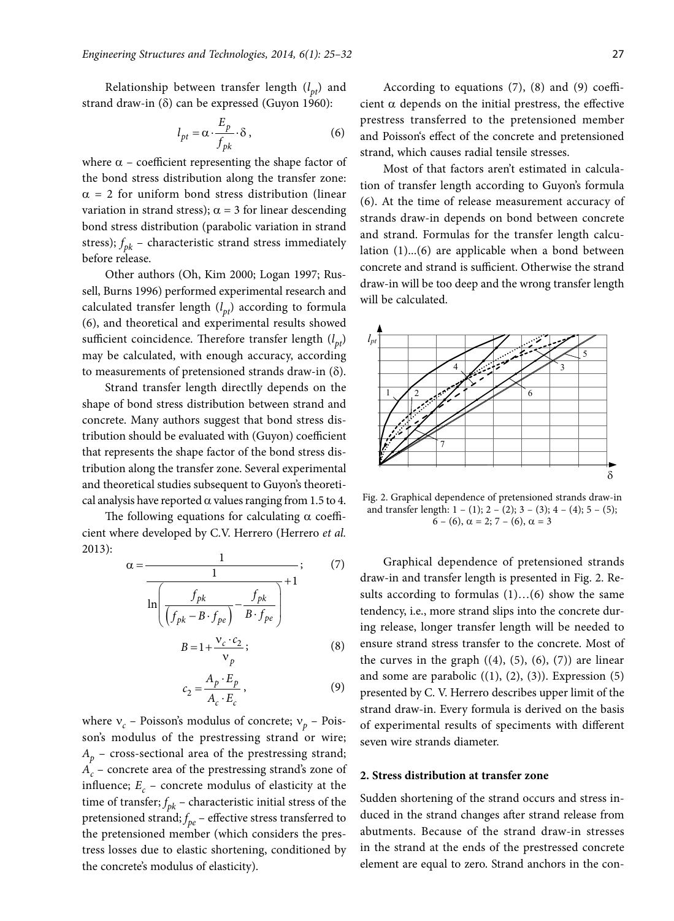Relationship between transfer length (*l pt*) and strand draw-in  $(\delta)$  can be expressed (Guyon 1960):

$$
l_{pt} = \alpha \cdot \frac{E_p}{f_{pk}} \cdot \delta ,\qquad (6)
$$

where  $\alpha$  – coefficient representing the shape factor of the bond stress distribution along the transfer zone:  $\alpha$  = 2 for uniform bond stress distribution (linear variation in strand stress);  $\alpha = 3$  for linear descending bond stress distribution (parabolic variation in strand stress);  $f_{pk}$  – characteristic strand stress immediately before release.

Other authors (Oh, Kim 2000; Logan 1997; Russell, Burns 1996) performed experimental research and calculated transfer length (*l pt*) according to formula (6), and theoretical and experimental results showed sufficient coincidence. Therefore transfer length (*l pt*) may be calculated, with enough accuracy, according to measurements of pretensioned strands draw-in (δ).

Strand transfer length directlly depends on the shape of bond stress distribution between strand and concrete. Many authors suggest that bond stress distribution should be evaluated with (Guyon) coefficient that represents the shape factor of the bond stress distribution along the transfer zone. Several experimental and theoretical studies subsequent to Guyon's theoretical analysis have reported  $\alpha$  values ranging from 1.5 to 4.

The following equations for calculating  $\alpha$  coefficient where developed by C.V. Herrero (Herrero *et al.*  2013):

$$
\alpha = \frac{1}{\ln\left(\frac{f_{pk}}{(f_{pk} - B \cdot f_{pe})} - \frac{f_{pk}}{B \cdot f_{pe}}\right)} + 1}
$$
(7)  

$$
B = 1 + \frac{v_c \cdot c_2}{v_p};
$$
(8)

$$
c_2 = \frac{A_p \cdot E_p}{A_c \cdot E_c},\tag{9}
$$

where  $v_c$  – Poisson's modulus of concrete;  $v_p$  – Poisson's modulus of the prestressing strand or wire;  $A_p$  – cross-sectional area of the prestressing strand;  $A_c$  – concrete area of the prestressing strand's zone of influence;  $E_c$  – concrete modulus of elasticity at the time of transfer;  $f_{pk}$  – characteristic initial stress of the pretensioned strand;  $f_{pe}$  – effective stress transferred to the pretensioned member (which considers the prestress losses due to elastic shortening, conditioned by the concrete's modulus of elasticity).

According to equations (7), (8) and (9) coefficient  $\alpha$  depends on the initial prestress, the effective prestress transferred to the pretensioned member and Poisson's effect of the concrete and pretensioned strand, which causes radial tensile stresses.

Most of that factors aren't estimated in calculation of transfer length according to Guyon's formula (6). At the time of release measurement accuracy of strands draw-in depends on bond between concrete and strand. Formulas for the transfer length calculation (1)...(6) are applicable when a bond between concrete and strand is sufficient. Otherwise the strand draw-in will be too deep and the wrong transfer length will be calculated.



Fig. 2. Graphical dependence of pretensioned strands draw-in and transfer length: 1 – (1); 2 – (2); 3 – (3); 4 – (4); 5 – (5); 6 – (6),  $\alpha = 2$ ; 7 – (6),  $\alpha = 3$ 

Graphical dependence of pretensioned strands draw-in and transfer length is presented in Fig. 2. Results according to formulas (1)…(6) show the same tendency, i.e., more strand slips into the concrete during release, longer transfer length will be needed to ensure strand stress transfer to the concrete. Most of the curves in the graph  $((4), (5), (6), (7))$  are linear and some are parabolic  $((1), (2), (3))$ . Expression  $(5)$ presented by C. V. Herrero describes upper limit of the strand draw-in. Every formula is derived on the basis of experimental results of speciments with different seven wire strands diameter.

#### **2. Stress distribution at transfer zone**

Sudden shortening of the strand occurs and stress induced in the strand changes after strand release from abutments. Because of the strand draw-in stresses in the strand at the ends of the prestressed concrete element are equal to zero. Strand anchors in the con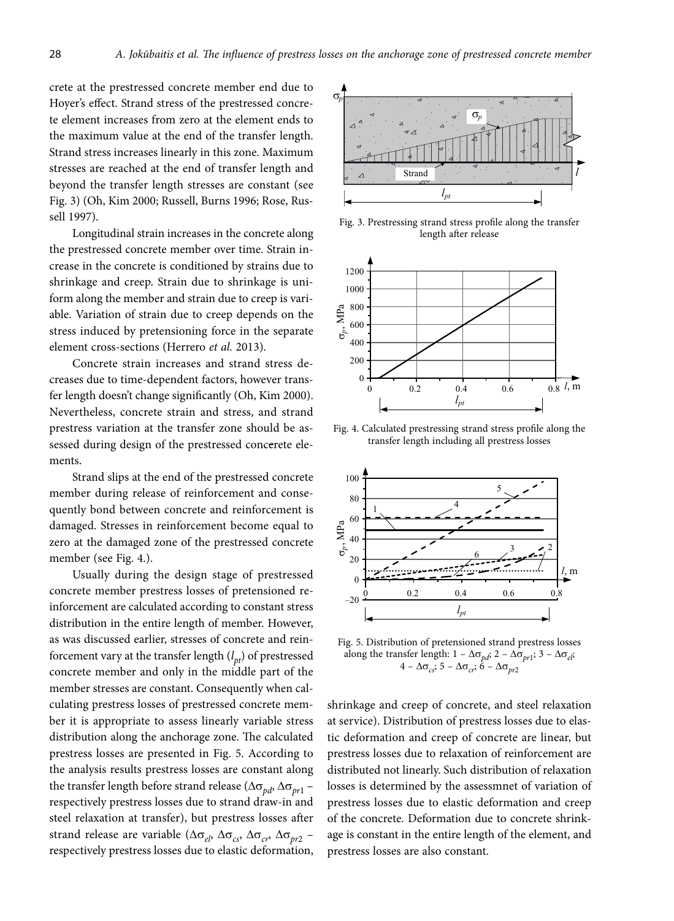crete at the prestressed concrete member end due to Hoyer's effect. Strand stress of the prestressed concrete element increases from zero at the element ends to the maximum value at the end of the transfer length. Strand stress increases linearly in this zone. Maximum stresses are reached at the end of transfer length and beyond the transfer length stresses are constant (see Fig. 3) (Oh, Kim 2000; Russell, Burns 1996; Rose, Russell 1997).

Longitudinal strain increases in the concrete along the prestressed concrete member over time. Strain increase in the concrete is conditioned by strains due to shrinkage and creep. Strain due to shrinkage is uniform along the member and strain due to creep is variable. Variation of strain due to creep depends on the stress induced by pretensioning force in the separate element cross-sections (Herrero *et al.* 2013).

Concrete strain increases and strand stress decreases due to time-dependent factors, however transfer length doesn't change significantly (Oh, Kim 2000). Nevertheless, concrete strain and stress, and strand prestress variation at the transfer zone should be assessed during design of the prestressed concerete elements.

Strand slips at the end of the prestressed concrete member during release of reinforcement and consequently bond between concrete and reinforcement is damaged. Stresses in reinforcement become equal to zero at the damaged zone of the prestressed concrete member (see Fig. 4.).

Usually during the design stage of prestressed concrete member prestress losses of pretensioned reinforcement are calculated according to constant stress distribution in the entire length of member. However, as was discussed earlier, stresses of concrete and reinfor<br>cement vary at the transfer length  $\left(l_{pt}\right)$  of prestressed concrete member and only in the middle part of the member stresses are constant. Consequently when calculating prestress losses of prestressed concrete member it is appropriate to assess linearly variable stress distribution along the anchorage zone. The calculated prestress losses are presented in Fig. 5. According to the analysis results prestress losses are constant along the transfer length before strand release (∆σ*pd*, ∆σ*pr*1 – respectively prestress losses due to strand draw-in and steel relaxation at transfer), but prestress losses after strand release are variable (∆σ*el*, ∆σ*cs*, ∆σ*cr*, ∆σ*pr*2 – respectively prestress losses due to elastic deformation,



Fig. 3. Prestressing strand stress profile along the transfer length after release



Fig. 4. Calculated prestressing strand stress profile along the transfer length including all prestress losses



Fig. 5. Distribution of pretensioned strand prestress losses along the transfer length:  $1 - \Delta \sigma_{pd}$ ;  $2 - \Delta \sigma_{pr1}$ ;  $3 - \Delta \sigma_{el}$ ; 4 – ∆σ*cs*; 5 – ∆σ*cr*; 6 – ∆σ*pr*<sup>2</sup>

shrinkage and creep of concrete, and steel relaxation at service). Distribution of prestress losses due to elastic deformation and creep of concrete are linear, but prestress losses due to relaxation of reinforcement are distributed not linearly. Such distribution of relaxation losses is determined by the assessmnet of variation of prestress losses due to elastic deformation and creep of the concrete. Deformation due to concrete shrinkage is constant in the entire length of the element, and prestress losses are also constant.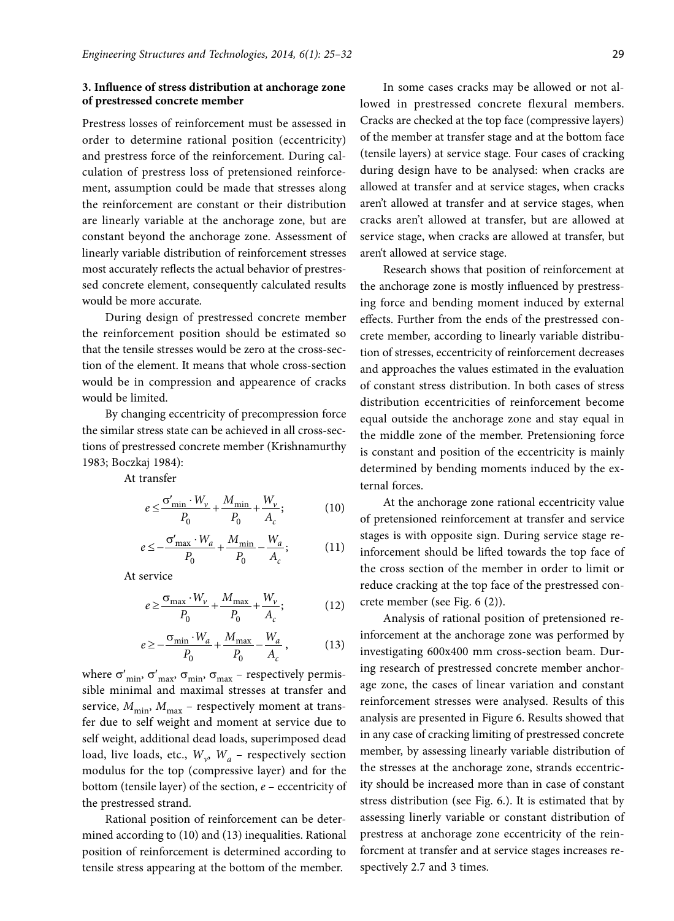## **3. Influence of stress distribution at anchorage zone of prestressed concrete member**

Prestress losses of reinforcement must be assessed in order to determine rational position (eccentricity) and prestress force of the reinforcement. During calculation of prestress loss of pretensioned reinforcement, assumption could be made that stresses along the reinforcement are constant or their distribution are linearly variable at the anchorage zone, but are constant beyond the anchorage zone. Assessment of linearly variable distribution of reinforcement stresses most accurately reflects the actual behavior of prestressed concrete element, consequently calculated results would be more accurate.

During design of prestressed concrete member the reinforcement position should be estimated so that the tensile stresses would be zero at the cross-section of the element. It means that whole cross-section would be in compression and appearence of cracks would be limited.

By changing eccentricity of precompression force the similar stress state can be achieved in all cross-sections of prestressed concrete member (Krishnamurthy 1983; Boczkaj 1984):

At transfer

$$
e \le \frac{\sigma'_{\min} \cdot W_{\nu}}{P_0} + \frac{M_{\min}}{P_0} + \frac{W_{\nu}}{A_c};\tag{10}
$$

$$
e \le -\frac{\sigma'_{\text{max}} \cdot W_a}{P_0} + \frac{M_{\text{min}}}{P_0} - \frac{W_a}{A_c};\tag{11}
$$

At service

$$
e \ge \frac{\sigma_{\text{max}} \cdot W_{\nu}}{P_0} + \frac{M_{\text{max}}}{P_0} + \frac{W_{\nu}}{A_c};\tag{12}
$$

$$
e \ge -\frac{\sigma_{\min} \cdot W_a}{P_0} + \frac{M_{\max}}{P_0} - \frac{W_a}{A_c},\tag{13}
$$

where  $\sigma'_{\text{min}},$   $\sigma'_{\text{max}},$   $\sigma_{\text{min}},$   $\sigma_{\text{max}}$  – respectively permissible minimal and maximal stresses at transfer and service,  $M_{\text{min}}$ ,  $M_{\text{max}}$  – respectively moment at transfer due to self weight and moment at service due to self weight, additional dead loads, superimposed dead load, live loads, etc.,  $W_v$ ,  $W_a$  – respectively section modulus for the top (compressive layer) and for the bottom (tensile layer) of the section, *e* – eccentricity of the prestressed strand.

Rational position of reinforcement can be determined according to (10) and (13) inequalities. Rational position of reinforcement is determined according to tensile stress appearing at the bottom of the member.

In some cases cracks may be allowed or not allowed in prestressed concrete flexural members. Cracks are checked at the top face (compressive layers) of the member at transfer stage and at the bottom face (tensile layers) at service stage. Four cases of cracking during design have to be analysed: when cracks are allowed at transfer and at service stages, when cracks aren't allowed at transfer and at service stages, when cracks aren't allowed at transfer, but are allowed at service stage, when cracks are allowed at transfer, but aren't allowed at service stage.

Research shows that position of reinforcement at the anchorage zone is mostly influenced by prestressing force and bending moment induced by external effects. Further from the ends of the prestressed concrete member, according to linearly variable distribution of stresses, eccentricity of reinforcement decreases and approaches the values estimated in the evaluation of constant stress distribution. In both cases of stress distribution eccentricities of reinforcement become equal outside the anchorage zone and stay equal in the middle zone of the member. Pretensioning force is constant and position of the eccentricity is mainly determined by bending moments induced by the external forces.

At the anchorage zone rational eccentricity value of pretensioned reinforcement at transfer and service stages is with opposite sign. During service stage reinforcement should be lifted towards the top face of the cross section of the member in order to limit or reduce cracking at the top face of the prestressed concrete member (see Fig. 6 (2)).

Analysis of rational position of pretensioned reinforcement at the anchorage zone was performed by investigating 600x400 mm cross-section beam. During research of prestressed concrete member anchorage zone, the cases of linear variation and constant reinforcement stresses were analysed. Results of this analysis are presented in Figure 6. Results showed that in any case of cracking limiting of prestressed concrete member, by assessing linearly variable distribution of the stresses at the anchorage zone, strands eccentricity should be increased more than in case of constant stress distribution (see Fig. 6.). It is estimated that by assessing linerly variable or constant distribution of prestress at anchorage zone eccentricity of the reinforcment at transfer and at service stages increases respectively 2.7 and 3 times.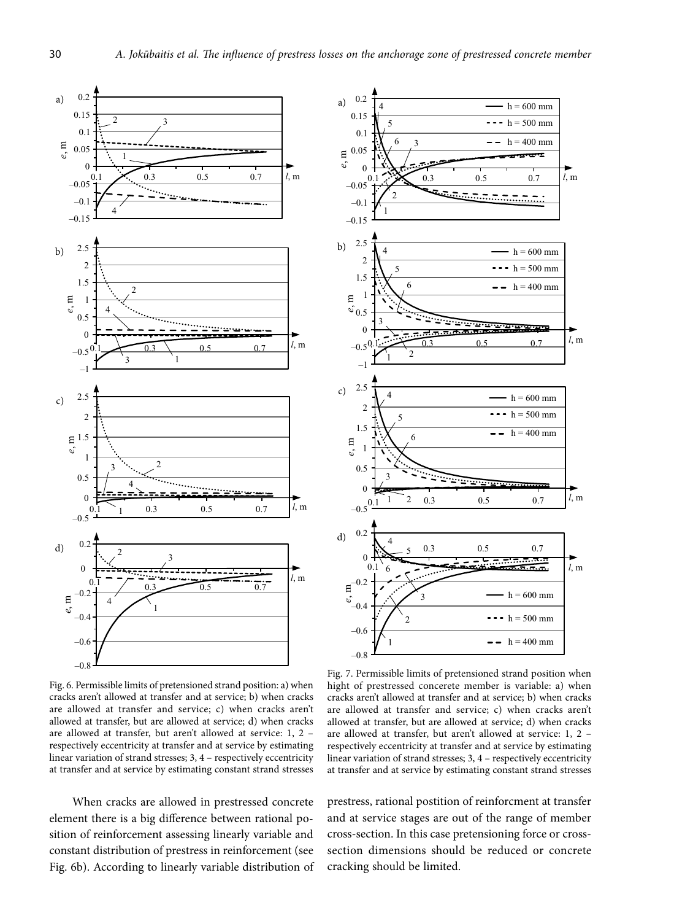

Fig. 6. Permissible limits of pretensioned strand position: a) when cracks aren't allowed at transfer and at service; b) when cracks are allowed at transfer and service; c) when cracks aren't allowed at transfer, but are allowed at service; d) when cracks are allowed at transfer, but aren't allowed at service: 1, 2 – respectively eccentricity at transfer and at service by estimating linear variation of strand stresses; 3, 4 – respectively eccentricity at transfer and at service by estimating constant strand stresses

When cracks are allowed in prestressed concrete element there is a big difference between rational position of reinforcement assessing linearly variable and constant distribution of prestress in reinforcement (see Fig. 6b). According to linearly variable distribution of



Fig. 7. Permissible limits of pretensioned strand position when hight of prestressed concerete member is variable: a) when cracks aren't allowed at transfer and at service; b) when cracks are allowed at transfer and service; c) when cracks aren't allowed at transfer, but are allowed at service; d) when cracks are allowed at transfer, but aren't allowed at service: 1, 2 – respectively eccentricity at transfer and at service by estimating linear variation of strand stresses; 3, 4 – respectively eccentricity at transfer and at service by estimating constant strand stresses

prestress, rational postition of reinforcment at transfer and at service stages are out of the range of member cross-section. In this case pretensioning force or crosssection dimensions should be reduced or concrete cracking should be limited.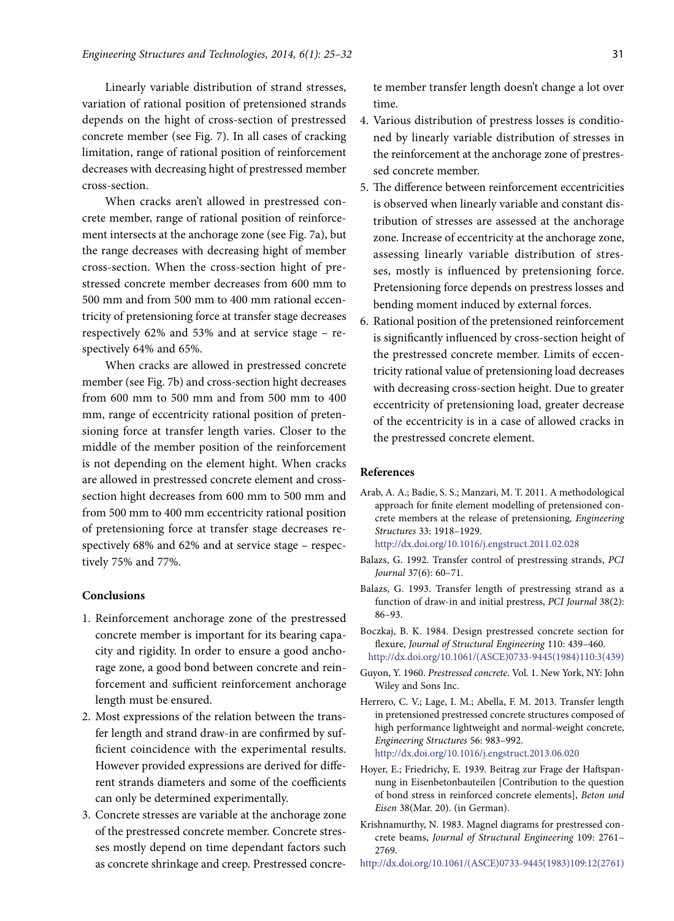Linearly variable distribution of strand stresses, variation of rational position of pretensioned strands depends on the hight of cross-section of prestressed concrete member (see Fig. 7). In all cases of cracking limitation, range of rational position of reinforcement decreases with decreasing hight of prestressed member cross-section.

When cracks aren't allowed in prestressed concrete member, range of rational position of reinforcement intersects at the anchorage zone (see Fig. 7a), but the range decreases with decreasing hight of member cross-section. When the cross-section hight of prestressed concrete member decreases from 600 mm to 500 mm and from 500 mm to 400 mm rational eccentricity of pretensioning force at transfer stage decreases respectively 62% and 53% and at service stage – respectively 64% and 65%.

When cracks are allowed in prestressed concrete member (see Fig. 7b) and cross-section hight decreases from 600 mm to 500 mm and from 500 mm to 400 mm, range of eccentricity rational position of pretensioning force at transfer length varies. Closer to the middle of the member position of the reinforcement is not depending on the element hight. When cracks are allowed in prestressed concrete element and crosssection hight decreases from 600 mm to 500 mm and from 500 mm to 400 mm eccentricity rational position of pretensioning force at transfer stage decreases respectively 68% and 62% and at service stage – respectively 75% and 77%.

### **Conclusions**

- 1. Reinforcement anchorage zone of the prestressed concrete member is important for its bearing capacity and rigidity. In order to ensure a good anchorage zone, a good bond between concrete and reinforcement and sufficient reinforcement anchorage length must be ensured.
- 2. Most expressions of the relation between the transfer length and strand draw-in are confirmed by sufficient coincidence with the experimental results. However provided expressions are derived for different strands diameters and some of the coefficients can only be determined experimentally.
- 3. Concrete stresses are variable at the anchorage zone of the prestressed concrete member. Concrete stresses mostly depend on time dependant factors such as concrete shrinkage and creep. Prestressed concre-

te member transfer length doesn't change a lot over time.

- 4. Various distribution of prestress losses is conditioned by linearly variable distribution of stresses in the reinforcement at the anchorage zone of prestressed concrete member.
- 5. The difference between reinforcement eccentricities is observed when linearly variable and constant distribution of stresses are assessed at the anchorage zone. Increase of eccentricity at the anchorage zone, assessing linearly variable distribution of stresses, mostly is influenced by pretensioning force. Pretensioning force depends on prestress losses and bending moment induced by external forces.
- 6. Rational position of the pretensioned reinforcement is significantly influenced by cross-section height of the prestressed concrete member. Limits of eccentricity rational value of pretensioning load decreases with decreasing cross-section height. Due to greater eccentricity of pretensioning load, greater decrease of the eccentricity is in a case of allowed cracks in the prestressed concrete element.

#### **References**

Arab, A. A.; Badie, S. S.; Manzari, M. T. 2011. A methodological approach for finite element modelling of pretensioned concrete members at the release of pretensioning*, Engineering Structures* 33: 1918–1929.

http://dx.doi.org/10.1016/j.engstruct.2011.02.028 Balazs, G. 1992. Transfer control of prestressing strands, *PCI* 

- *Journal* 37(6): 60–71.
- Balazs, G. 1993. Transfer length of prestressing strand as a function of draw-in and initial prestress, *PCI Journal* 38(2): 86–93.
- Boczkaj, B. K. 1984. Design prestressed concrete section for flexure, *Journal of Structural Engineering* 110: 439–460. http://dx.doi.org/10.1061/(ASCE)0733-9445(1984)110:3(439)
- Guyon, Y. 1960. *Prestressed concrete*. Vol. 1. New York, NY: John Wiley and Sons Inc.
- Herrero, C. V.; Lage, I. M.; Abella, F. M. 2013. Transfer length in pretensioned prestressed concrete structures composed of high performance lightweight and normal-weight concrete, *Engineering Structures* 56: 983–992. http://dx.doi.org/10.1016/j.engstruct.2013.06.020
- Hoyer, E.; Friedrichy, E. 1939. Beitrag zur Frage der Haftspannung in Eisenbetonbauteilen [Contribution to the question of bond stress in reinforced concrete elements], *Beton und Eisen* 38(Mar. 20). (in German).
- Krishnamurthy, N. 1983. Magnel diagrams for prestressed concrete beams, *Journal of Structural Engineering* 109: 2761– 2769.